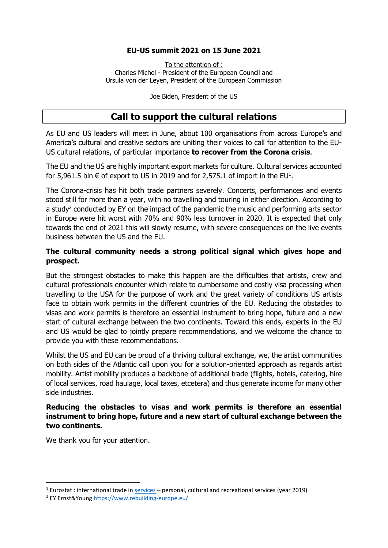### **EU-US summit 2021 on 15 June 2021**

To the attention of : Charles Michel - President of the European Council and Ursula von der Leyen, President of the European Commission

Joe Biden, President of the US

# **Call to support the cultural relations**

As EU and US leaders will meet in June, about 100 organisations from across Europe's and America's cultural and creative sectors are uniting their voices to call for attention to the EU-US cultural relations, of particular importance **to recover from the Corona crisis**.

The EU and the US are highly important export markets for culture. Cultural services accounted for 5,961.5 bln  $\epsilon$  of export to US in 2019 and for 2,575.1 of import in the EU<sup>1</sup>.

The Corona-crisis has hit both trade partners severely. Concerts, performances and events stood still for more than a year, with no travelling and touring in either direction. According to a study<sup>2</sup> conducted by EY on the impact of the pandemic the music and performing arts sector in Europe were hit worst with 70% and 90% less turnover in 2020. It is expected that only towards the end of 2021 this will slowly resume, with severe consequences on the live events business between the US and the EU.

### **The cultural community needs a strong political signal which gives hope and prospect.**

But the strongest obstacles to make this happen are the difficulties that artists, crew and cultural professionals encounter which relate to cumbersome and costly visa processing when travelling to the USA for the purpose of work and the great variety of conditions US artists face to obtain work permits in the different countries of the EU. Reducing the obstacles to visas and work permits is therefore an essential instrument to bring hope, future and a new start of cultural exchange between the two continents. Toward this ends, experts in the EU and US would be glad to jointly prepare recommendations, and we welcome the chance to provide you with these recommendations.

Whilst the US and EU can be proud of a thriving cultural exchange, we, the artist communities on both sides of the Atlantic call upon you for a solution-oriented approach as regards artist mobility. Artist mobility produces a backbone of additional trade (flights, hotels, catering, hire of local services, road haulage, local taxes, etcetera) and thus generate income for many other side industries.

### **Reducing the obstacles to visas and work permits is therefore an essential instrument to bring hope, future and a new start of cultural exchange between the two continents.**

We thank you for your attention.

<sup>&</sup>lt;sup>1</sup> Eurostat : international trade in  $\frac{4}{100}$  services – personal, cultural and recreational services (year 2019)

<sup>2</sup> EY Ernst&Young<https://www.rebuilding-europe.eu/>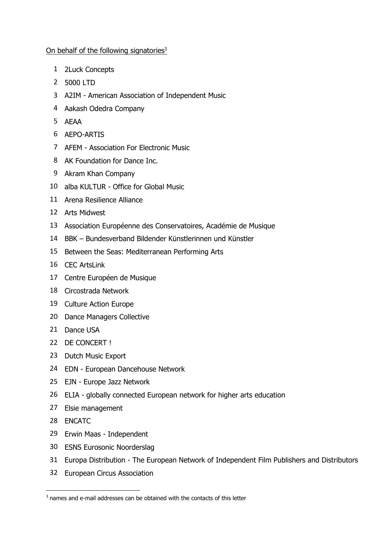#### On behalf of the following signatories<sup>3</sup>

- 2Luck Concepts
- 5000 LTD
- A2IM American Association of Independent Music
- Aakash Odedra Company
- AEAA
- AEPO-ARTIS
- AFEM Association For Electronic Music
- AK Foundation for Dance Inc.
- Akram Khan Company
- alba KULTUR Office for Global Music
- Arena Resilience Alliance
- Arts Midwest
- Association Européenne des Conservatoires, Académie de Musique
- BBK Bundesverband Bildender Künstlerinnen und Künstler
- Between the Seas: Mediterranean Performing Arts
- CEC ArtsLink
- Centre Européen de Musique
- Circostrada Network
- Culture Action Europe
- Dance Managers Collective
- 21 Dance USA
- DE CONCERT !
- Dutch Music Export
- EDN European Dancehouse Network
- EJN Europe Jazz Network
- ELIA globally connected European network for higher arts education
- Elsie management
- ENCATC
- Erwin Maas Independent
- ESNS Eurosonic Noorderslag
- Europa Distribution The European Network of Independent Film Publishers and Distributors
- European Circus Association

<sup>&</sup>lt;sup>3</sup> names and e-mail addresses can be obtained with the contacts of this letter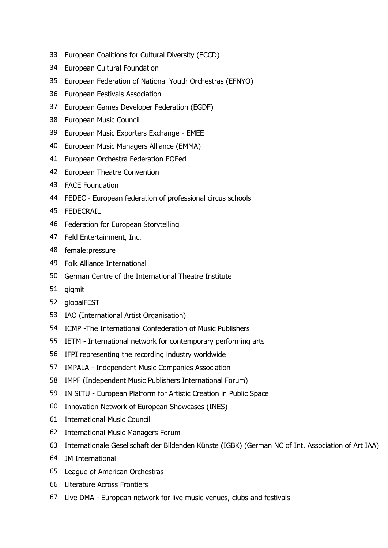- European Coalitions for Cultural Diversity (ECCD)
- European Cultural Foundation
- European Federation of National Youth Orchestras (EFNYO)
- European Festivals Association
- European Games Developer Federation (EGDF)
- European Music Council
- European Music Exporters Exchange EMEE
- European Music Managers Alliance (EMMA)
- European Orchestra Federation EOFed
- European Theatre Convention
- FACE Foundation
- FEDEC European federation of professional circus schools
- FEDECRAIL
- Federation for European Storytelling
- Feld Entertainment, Inc.
- female:pressure
- Folk Alliance International
- German Centre of the International Theatre Institute
- gigmit
- globalFEST
- IAO (International Artist Organisation)
- ICMP -The International Confederation of Music Publishers
- IETM International network for contemporary performing arts
- IFPI representing the recording industry worldwide
- IMPALA Independent Music Companies Association
- IMPF (Independent Music Publishers International Forum)
- IN SITU European Platform for Artistic Creation in Public Space
- Innovation Network of European Showcases (INES)
- International Music Council
- International Music Managers Forum
- Internationale Gesellschaft der Bildenden Künste (IGBK) (German NC of Int. Association of Art IAA)
- JM International
- League of American Orchestras
- Literature Across Frontiers
- Live DMA European network for live music venues, clubs and festivals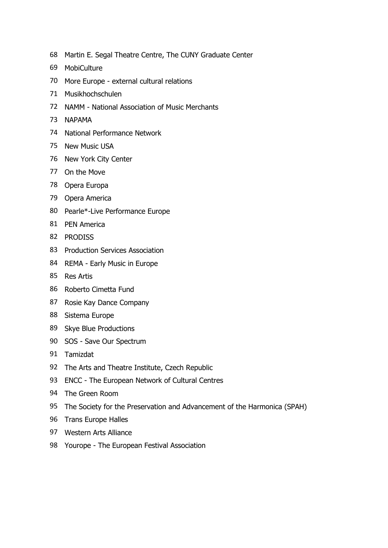- Martin E. Segal Theatre Centre, The CUNY Graduate Center
- MobiCulture
- More Europe external cultural relations
- Musikhochschulen
- NAMM National Association of Music Merchants
- NAPAMA
- National Performance Network
- New Music USA
- New York City Center
- On the Move
- Opera Europa
- Opera America
- Pearle\*-Live Performance Europe
- PEN America
- PRODISS
- Production Services Association
- REMA Early Music in Europe
- Res Artis
- Roberto Cimetta Fund
- Rosie Kay Dance Company
- Sistema Europe
- Skye Blue Productions
- SOS Save Our Spectrum
- Tamizdat
- The Arts and Theatre Institute, Czech Republic
- ENCC The European Network of Cultural Centres
- The Green Room
- The Society for the Preservation and Advancement of the Harmonica (SPAH)
- Trans Europe Halles
- Western Arts Alliance
- Yourope The European Festival Association